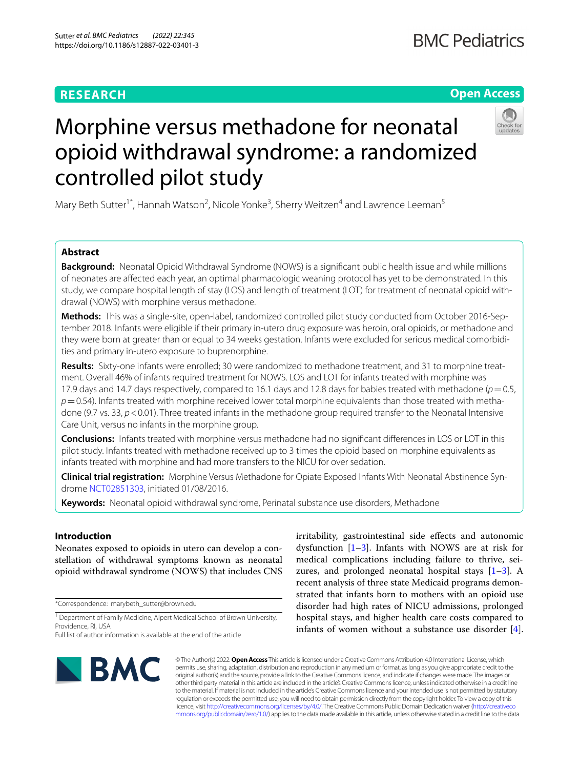# **RESEARCH**

# **Open Access**



# Morphine versus methadone for neonatal opioid withdrawal syndrome: a randomized controlled pilot study

Mary Beth Sutter<sup>1\*</sup>, Hannah Watson<sup>2</sup>, Nicole Yonke<sup>3</sup>, Sherry Weitzen<sup>4</sup> and Lawrence Leeman<sup>5</sup>

# **Abstract**

**Background:** Neonatal Opioid Withdrawal Syndrome (NOWS) is a signifcant public health issue and while millions of neonates are afected each year, an optimal pharmacologic weaning protocol has yet to be demonstrated. In this study, we compare hospital length of stay (LOS) and length of treatment (LOT) for treatment of neonatal opioid withdrawal (NOWS) with morphine versus methadone.

**Methods:** This was a single-site, open-label, randomized controlled pilot study conducted from October 2016-September 2018. Infants were eligible if their primary in-utero drug exposure was heroin, oral opioids, or methadone and they were born at greater than or equal to 34 weeks gestation. Infants were excluded for serious medical comorbidities and primary in-utero exposure to buprenorphine.

**Results:** Sixty-one infants were enrolled; 30 were randomized to methadone treatment, and 31 to morphine treatment. Overall 46% of infants required treatment for NOWS. LOS and LOT for infants treated with morphine was 17.9 days and 14.7 days respectively, compared to 16.1 days and 12.8 days for babies treated with methadone  $(p=0.5,$ *p*=0.54). Infants treated with morphine received lower total morphine equivalents than those treated with methadone (9.7 vs. 33,  $p < 0.01$ ). Three treated infants in the methadone group required transfer to the Neonatal Intensive Care Unit, versus no infants in the morphine group.

**Conclusions:** Infants treated with morphine versus methadone had no signifcant diferences in LOS or LOT in this pilot study. Infants treated with methadone received up to 3 times the opioid based on morphine equivalents as infants treated with morphine and had more transfers to the NICU for over sedation.

**Clinical trial registration:** Morphine Versus Methadone for Opiate Exposed Infants With Neonatal Abstinence Syndrome [NCT02851303](https://clinicaltrials.gov/ct2/show/NCT02851303), initiated 01/08/2016.

**Keywords:** Neonatal opioid withdrawal syndrome, Perinatal substance use disorders, Methadone

# **Introduction**

Neonates exposed to opioids in utero can develop a constellation of withdrawal symptoms known as neonatal opioid withdrawal syndrome (NOWS) that includes CNS

\*Correspondence: marybeth\_sutter@brown.edu

<sup>1</sup> Department of Family Medicine, Alpert Medical School of Brown University, Providence, RI, USA

irritability, gastrointestinal side efects and autonomic dysfunction  $[1-3]$  $[1-3]$ . Infants with NOWS are at risk for medical complications including failure to thrive, seizures, and prolonged neonatal hospital stays  $[1-3]$  $[1-3]$  $[1-3]$ . A recent analysis of three state Medicaid programs demonstrated that infants born to mothers with an opioid use disorder had high rates of NICU admissions, prolonged hospital stays, and higher health care costs compared to infants of women without a substance use disorder [\[4](#page-5-2)].



© The Author(s) 2022. **Open Access** This article is licensed under a Creative Commons Attribution 4.0 International License, which permits use, sharing, adaptation, distribution and reproduction in any medium or format, as long as you give appropriate credit to the original author(s) and the source, provide a link to the Creative Commons licence, and indicate if changes were made. The images or other third party material in this article are included in the article's Creative Commons licence, unless indicated otherwise in a credit line to the material. If material is not included in the article's Creative Commons licence and your intended use is not permitted by statutory regulation or exceeds the permitted use, you will need to obtain permission directly from the copyright holder. To view a copy of this licence, visit [http://creativecommons.org/licenses/by/4.0/.](http://creativecommons.org/licenses/by/4.0/) The Creative Commons Public Domain Dedication waiver ([http://creativeco](http://creativecommons.org/publicdomain/zero/1.0/) [mmons.org/publicdomain/zero/1.0/](http://creativecommons.org/publicdomain/zero/1.0/)) applies to the data made available in this article, unless otherwise stated in a credit line to the data.

Full list of author information is available at the end of the article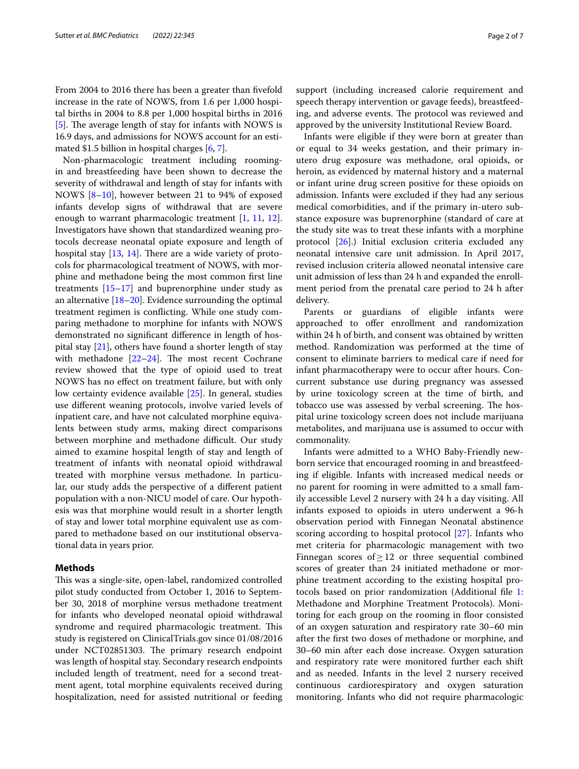From 2004 to 2016 there has been a greater than fvefold increase in the rate of NOWS, from 1.6 per 1,000 hospital births in 2004 to 8.8 per 1,000 hospital births in 2016  $[5]$  $[5]$ . The average length of stay for infants with NOWS is 16.9 days, and admissions for NOWS account for an estimated \$1.5 billion in hospital charges [\[6](#page-5-4), [7\]](#page-5-5).

Non-pharmacologic treatment including roomingin and breastfeeding have been shown to decrease the severity of withdrawal and length of stay for infants with NOWS [[8–](#page-5-6)[10\]](#page-6-0), however between 21 to 94% of exposed infants develop signs of withdrawal that are severe enough to warrant pharmacologic treatment [\[1](#page-5-0), [11,](#page-6-1) [12](#page-6-2)]. Investigators have shown that standardized weaning protocols decrease neonatal opiate exposure and length of hospital stay  $[13, 14]$  $[13, 14]$  $[13, 14]$  $[13, 14]$ . There are a wide variety of protocols for pharmacological treatment of NOWS, with morphine and methadone being the most common frst line treatments [[15](#page-6-5)[–17](#page-6-6)] and buprenorphine under study as an alternative [[18–](#page-6-7)[20\]](#page-6-8). Evidence surrounding the optimal treatment regimen is conficting. While one study comparing methadone to morphine for infants with NOWS demonstrated no signifcant diference in length of hospital stay  $[21]$  $[21]$ , others have found a shorter length of stay with methadone  $[22-24]$  $[22-24]$  $[22-24]$ . The most recent Cochrane review showed that the type of opioid used to treat NOWS has no efect on treatment failure, but with only low certainty evidence available [[25](#page-6-12)]. In general, studies use diferent weaning protocols, involve varied levels of inpatient care, and have not calculated morphine equivalents between study arms, making direct comparisons between morphine and methadone difficult. Our study aimed to examine hospital length of stay and length of treatment of infants with neonatal opioid withdrawal treated with morphine versus methadone. In particular, our study adds the perspective of a diferent patient population with a non-NICU model of care. Our hypothesis was that morphine would result in a shorter length of stay and lower total morphine equivalent use as compared to methadone based on our institutional observational data in years prior.

# <span id="page-1-0"></span>**Methods**

This was a single-site, open-label, randomized controlled pilot study conducted from October 1, 2016 to September 30, 2018 of morphine versus methadone treatment for infants who developed neonatal opioid withdrawal syndrome and required pharmacologic treatment. This study is registered on ClinicalTrials.gov since 01/08/2016 under NCT02851303. The primary research endpoint was length of hospital stay. Secondary research endpoints included length of treatment, need for a second treatment agent, total morphine equivalents received during hospitalization, need for assisted nutritional or feeding support (including increased calorie requirement and speech therapy intervention or gavage feeds), breastfeeding, and adverse events. The protocol was reviewed and approved by the university Institutional Review Board.

Infants were eligible if they were born at greater than or equal to 34 weeks gestation, and their primary inutero drug exposure was methadone, oral opioids, or heroin, as evidenced by maternal history and a maternal or infant urine drug screen positive for these opioids on admission. Infants were excluded if they had any serious medical comorbidities, and if the primary in-utero substance exposure was buprenorphine (standard of care at the study site was to treat these infants with a morphine protocol [\[26](#page-6-13)].) Initial exclusion criteria excluded any neonatal intensive care unit admission. In April 2017, revised inclusion criteria allowed neonatal intensive care unit admission of less than 24 h and expanded the enrollment period from the prenatal care period to 24 h after delivery.

Parents or guardians of eligible infants were approached to offer enrollment and randomization within 24 h of birth, and consent was obtained by written method. Randomization was performed at the time of consent to eliminate barriers to medical care if need for infant pharmacotherapy were to occur after hours. Concurrent substance use during pregnancy was assessed by urine toxicology screen at the time of birth, and tobacco use was assessed by verbal screening. The hospital urine toxicology screen does not include marijuana metabolites, and marijuana use is assumed to occur with commonality.

Infants were admitted to a WHO Baby-Friendly newborn service that encouraged rooming in and breastfeeding if eligible. Infants with increased medical needs or no parent for rooming in were admitted to a small family accessible Level 2 nursery with 24 h a day visiting. All infants exposed to opioids in utero underwent a 96-h observation period with Finnegan Neonatal abstinence scoring according to hospital protocol [\[27](#page-6-14)]. Infants who met criteria for pharmacologic management with two Finnegan scores of $\geq$ 12 or three sequential combined scores of greater than 24 initiated methadone or morphine treatment according to the existing hospital protocols based on prior randomization (Additional fle [1](#page-5-7): Methadone and Morphine Treatment Protocols). Monitoring for each group on the rooming in floor consisted of an oxygen saturation and respiratory rate 30–60 min after the frst two doses of methadone or morphine, and 30–60 min after each dose increase. Oxygen saturation and respiratory rate were monitored further each shift and as needed. Infants in the level 2 nursery received continuous cardiorespiratory and oxygen saturation monitoring. Infants who did not require pharmacologic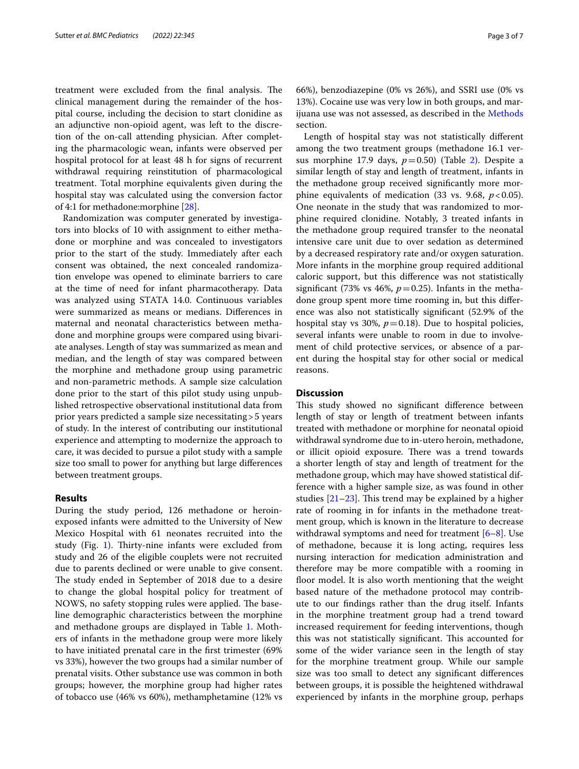treatment were excluded from the final analysis. The clinical management during the remainder of the hospital course, including the decision to start clonidine as an adjunctive non-opioid agent, was left to the discretion of the on-call attending physician. After completing the pharmacologic wean, infants were observed per hospital protocol for at least 48 h for signs of recurrent withdrawal requiring reinstitution of pharmacological treatment. Total morphine equivalents given during the hospital stay was calculated using the conversion factor of 4:1 for methadone:morphine [[28\]](#page-6-15).

Randomization was computer generated by investigators into blocks of 10 with assignment to either methadone or morphine and was concealed to investigators prior to the start of the study. Immediately after each consent was obtained, the next concealed randomization envelope was opened to eliminate barriers to care at the time of need for infant pharmacotherapy. Data was analyzed using STATA 14.0. Continuous variables were summarized as means or medians. Diferences in maternal and neonatal characteristics between methadone and morphine groups were compared using bivariate analyses. Length of stay was summarized as mean and median, and the length of stay was compared between the morphine and methadone group using parametric and non-parametric methods. A sample size calculation done prior to the start of this pilot study using unpublished retrospective observational institutional data from prior years predicted a sample size necessitating>5 years of study. In the interest of contributing our institutional experience and attempting to modernize the approach to care, it was decided to pursue a pilot study with a sample size too small to power for anything but large diferences between treatment groups.

# **Results**

During the study period, 126 methadone or heroinexposed infants were admitted to the University of New Mexico Hospital with 61 neonates recruited into the study (Fig. [1\)](#page-3-0). Thirty-nine infants were excluded from study and 26 of the eligible couplets were not recruited due to parents declined or were unable to give consent. The study ended in September of 2018 due to a desire to change the global hospital policy for treatment of NOWS, no safety stopping rules were applied. The baseline demographic characteristics between the morphine and methadone groups are displayed in Table [1](#page-4-0). Mothers of infants in the methadone group were more likely to have initiated prenatal care in the frst trimester (69% vs 33%), however the two groups had a similar number of prenatal visits. Other substance use was common in both groups; however, the morphine group had higher rates of tobacco use (46% vs 60%), methamphetamine (12% vs 66%), benzodiazepine (0% vs 26%), and SSRI use (0% vs 13%). Cocaine use was very low in both groups, and marijuana use was not assessed, as described in the [Methods](#page-1-0) section.

Length of hospital stay was not statistically diferent among the two treatment groups (methadone 16.1 versus morphine 17.9 days,  $p=0.50$ ) (Table [2\)](#page-4-1). Despite a similar length of stay and length of treatment, infants in the methadone group received signifcantly more morphine equivalents of medication (33 vs. 9.68,  $p < 0.05$ ). One neonate in the study that was randomized to morphine required clonidine. Notably, 3 treated infants in the methadone group required transfer to the neonatal intensive care unit due to over sedation as determined by a decreased respiratory rate and/or oxygen saturation. More infants in the morphine group required additional caloric support, but this diference was not statistically significant (73% vs 46%,  $p=0.25$ ). Infants in the methadone group spent more time rooming in, but this diference was also not statistically signifcant (52.9% of the hospital stay vs 30%,  $p=0.18$ ). Due to hospital policies, several infants were unable to room in due to involvement of child protective services, or absence of a parent during the hospital stay for other social or medical reasons.

# **Discussion**

This study showed no significant difference between length of stay or length of treatment between infants treated with methadone or morphine for neonatal opioid withdrawal syndrome due to in-utero heroin, methadone, or illicit opioid exposure. There was a trend towards a shorter length of stay and length of treatment for the methadone group, which may have showed statistical difference with a higher sample size, as was found in other studies  $[21-23]$  $[21-23]$  $[21-23]$ . This trend may be explained by a higher rate of rooming in for infants in the methadone treatment group, which is known in the literature to decrease withdrawal symptoms and need for treatment [\[6](#page-5-4)[–8](#page-5-6)]. Use of methadone, because it is long acting, requires less nursing interaction for medication administration and therefore may be more compatible with a rooming in floor model. It is also worth mentioning that the weight based nature of the methadone protocol may contribute to our fndings rather than the drug itself. Infants in the morphine treatment group had a trend toward increased requirement for feeding interventions, though this was not statistically significant. This accounted for some of the wider variance seen in the length of stay for the morphine treatment group. While our sample size was too small to detect any signifcant diferences between groups, it is possible the heightened withdrawal experienced by infants in the morphine group, perhaps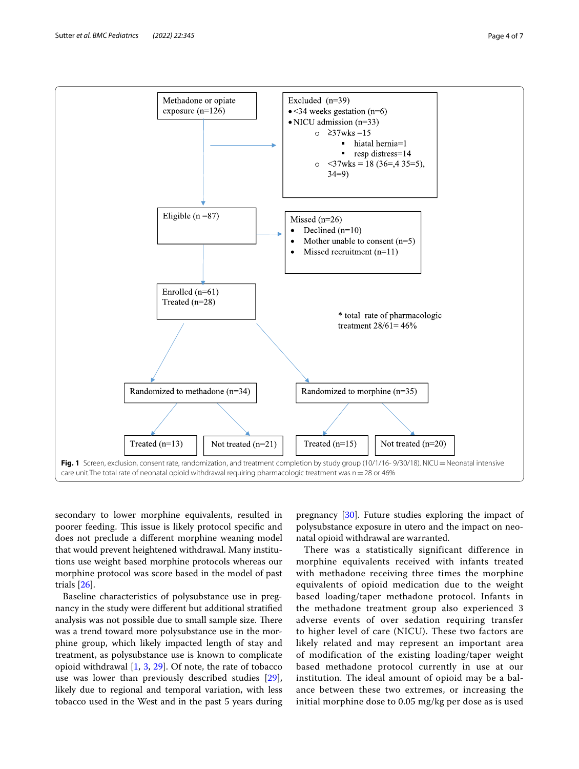

<span id="page-3-0"></span>secondary to lower morphine equivalents, resulted in poorer feeding. This issue is likely protocol specific and does not preclude a diferent morphine weaning model that would prevent heightened withdrawal. Many institutions use weight based morphine protocols whereas our morphine protocol was score based in the model of past trials [[26\]](#page-6-13).

Baseline characteristics of polysubstance use in pregnancy in the study were diferent but additional stratifed analysis was not possible due to small sample size. There was a trend toward more polysubstance use in the morphine group, which likely impacted length of stay and treatment, as polysubstance use is known to complicate opioid withdrawal [[1](#page-5-0), [3,](#page-5-1) [29\]](#page-6-17). Of note, the rate of tobacco use was lower than previously described studies [\[29](#page-6-17)], likely due to regional and temporal variation, with less tobacco used in the West and in the past 5 years during

pregnancy [[30\]](#page-6-18). Future studies exploring the impact of polysubstance exposure in utero and the impact on neonatal opioid withdrawal are warranted.

There was a statistically significant difference in morphine equivalents received with infants treated with methadone receiving three times the morphine equivalents of opioid medication due to the weight based loading/taper methadone protocol. Infants in the methadone treatment group also experienced 3 adverse events of over sedation requiring transfer to higher level of care (NICU). These two factors are likely related and may represent an important area of modification of the existing loading/taper weight based methadone protocol currently in use at our institution. The ideal amount of opioid may be a balance between these two extremes, or increasing the initial morphine dose to 0.05 mg/kg per dose as is used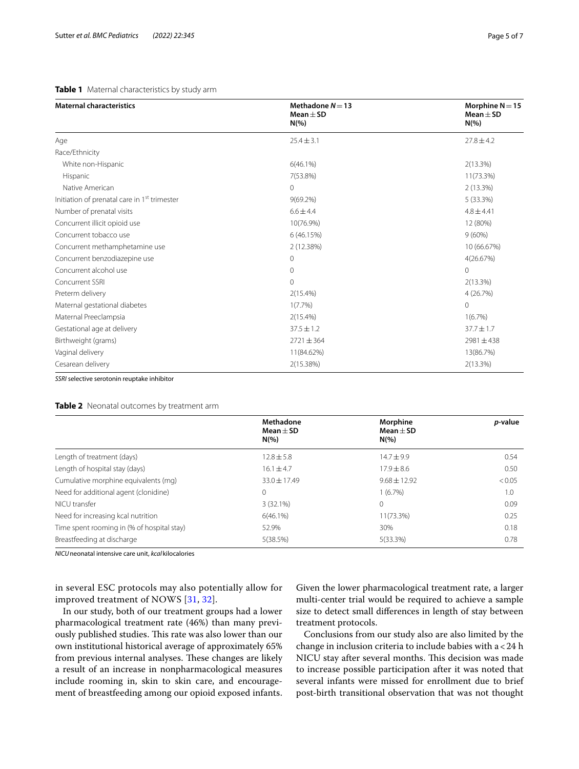# <span id="page-4-0"></span>**Table 1** Maternal characteristics by study arm

| <b>Maternal characteristics</b>                          | Methadone $N = 13$<br>Mean $\pm$ SD<br>$N(\% )$ |                |
|----------------------------------------------------------|-------------------------------------------------|----------------|
| Age                                                      | $25.4 \pm 3.1$                                  | $27.8 \pm 4.2$ |
| Race/Ethnicity                                           |                                                 |                |
| White non-Hispanic                                       | $6(46.1\%)$                                     | $2(13.3\%)$    |
| Hispanic                                                 | 7(53.8%)                                        | 11(73.3%)      |
| Native American                                          | $\Omega$                                        | 2(13.3%)       |
| Initiation of prenatal care in 1 <sup>st</sup> trimester | $9(69.2\%)$                                     | 5 (33.3%)      |
| Number of prenatal visits                                | $6.6 \pm 4.4$                                   | $4.8 \pm 4.41$ |
| Concurrent illicit opioid use                            | 10(76.9%)                                       | 12 (80%)       |
| Concurrent tobacco use                                   | 6(46.15%)                                       | $9(60\%)$      |
| Concurrent methamphetamine use                           | 2 (12.38%)                                      | 10 (66.67%)    |
| Concurrent benzodiazepine use                            | $\Omega$                                        | 4(26.67%)      |
| Concurrent alcohol use                                   | $\Omega$                                        | $\Omega$       |
| Concurrent SSRI                                          | $\Omega$                                        | 2(13.3%)       |
| Preterm delivery                                         | $2(15.4\%)$                                     | 4 (26.7%)      |
| Maternal gestational diabetes                            | $1(7.7\%)$                                      | $\mathbf 0$    |
| Maternal Preeclampsia                                    | $2(15.4\%)$                                     | 1(6.7%)        |
| Gestational age at delivery                              | $37.5 \pm 1.2$                                  | $37.7 \pm 1.7$ |
| Birthweight (grams)                                      | $2721 \pm 364$                                  | $2981 \pm 438$ |
| Vaginal delivery                                         | 11(84.62%)                                      | 13(86.7%)      |
| Cesarean delivery                                        | 2(15.38%)                                       | 2(13.3%)       |

*SSRI* selective serotonin reuptake inhibitor

# <span id="page-4-1"></span>**Table 2** Neonatal outcomes by treatment arm

|                                            | Methadone<br>$Mean + SD$ | Morphine<br>$Mean + SD$ | <i>p</i> -value |
|--------------------------------------------|--------------------------|-------------------------|-----------------|
|                                            | $N(\%)$                  | $N(\%)$                 |                 |
| Length of treatment (days)                 | $12.8 \pm 5.8$           | $14.7 \pm 9.9$          | 0.54            |
| Length of hospital stay (days)             | $16.1 \pm 4.7$           | $17.9 \pm 8.6$          | 0.50            |
| Cumulative morphine equivalents (mq)       | $33.0 \pm 17.49$         | $9.68 \pm 12.92$        | < 0.05          |
| Need for additional agent (clonidine)      |                          | $1(6.7\%)$              | 1.0             |
| NICU transfer                              | 3(32.1%)                 | $\mathbf{0}$            | 0.09            |
| Need for increasing kcal nutrition         | $6(46.1\%)$              | 11(73.3%)               | 0.25            |
| Time spent rooming in (% of hospital stay) | 52.9%                    | 30%                     | 0.18            |
| Breastfeeding at discharge                 | 5(38.5%)                 | $5(33.3\%)$             | 0.78            |

*NICU*neonatal intensive care unit, *kcal* kilocalories

in several ESC protocols may also potentially allow for improved treatment of NOWS [[31](#page-6-19), [32](#page-6-20)].

In our study, both of our treatment groups had a lower pharmacological treatment rate (46%) than many previously published studies. This rate was also lower than our own institutional historical average of approximately 65% from previous internal analyses. These changes are likely a result of an increase in nonpharmacological measures include rooming in, skin to skin care, and encouragement of breastfeeding among our opioid exposed infants. Given the lower pharmacological treatment rate, a larger multi-center trial would be required to achieve a sample size to detect small diferences in length of stay between treatment protocols.

Conclusions from our study also are also limited by the change in inclusion criteria to include babies with  $a < 24$  h NICU stay after several months. This decision was made to increase possible participation after it was noted that several infants were missed for enrollment due to brief post-birth transitional observation that was not thought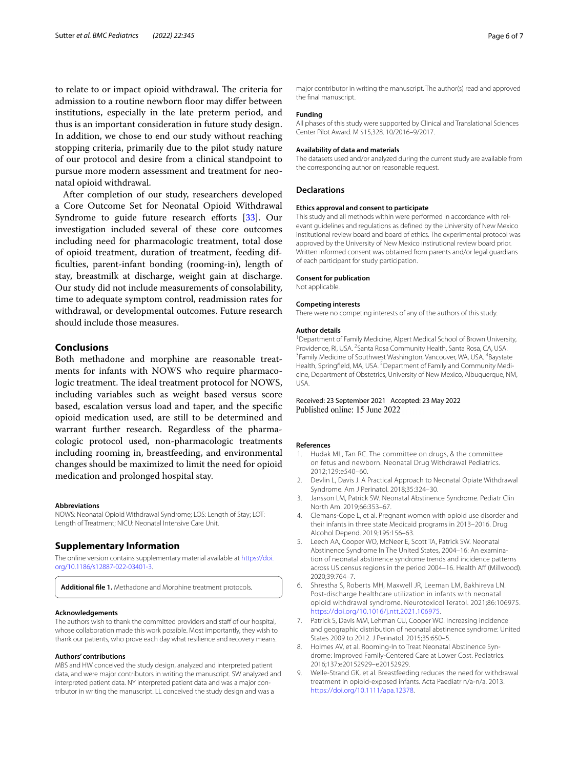to relate to or impact opioid withdrawal. The criteria for admission to a routine newborn floor may differ between institutions, especially in the late preterm period, and thus is an important consideration in future study design. In addition, we chose to end our study without reaching stopping criteria, primarily due to the pilot study nature of our protocol and desire from a clinical standpoint to pursue more modern assessment and treatment for neonatal opioid withdrawal.

After completion of our study, researchers developed a Core Outcome Set for Neonatal Opioid Withdrawal Syndrome to guide future research efforts [[33\]](#page-6-21). Our investigation included several of these core outcomes including need for pharmacologic treatment, total dose of opioid treatment, duration of treatment, feeding diffculties, parent-infant bonding (rooming-in), length of stay, breastmilk at discharge, weight gain at discharge. Our study did not include measurements of consolability, time to adequate symptom control, readmission rates for withdrawal, or developmental outcomes. Future research should include those measures.

# **Conclusions**

Both methadone and morphine are reasonable treatments for infants with NOWS who require pharmacologic treatment. The ideal treatment protocol for NOWS, including variables such as weight based versus score based, escalation versus load and taper, and the specifc opioid medication used, are still to be determined and warrant further research. Regardless of the pharmacologic protocol used, non-pharmacologic treatments including rooming in, breastfeeding, and environmental changes should be maximized to limit the need for opioid medication and prolonged hospital stay.

#### **Abbreviations**

NOWS: Neonatal Opioid Withdrawal Syndrome; LOS: Length of Stay; LOT: Length of Treatment; NICU: Neonatal Intensive Care Unit.

# **Supplementary Information**

The online version contains supplementary material available at [https://doi.](https://doi.org/10.1186/s12887-022-03401-3) [org/10.1186/s12887-022-03401-3](https://doi.org/10.1186/s12887-022-03401-3).

<span id="page-5-7"></span>**Additional fle 1.** Methadone and Morphine treatment protocols.

## **Acknowledgements**

The authors wish to thank the committed providers and staff of our hospital, whose collaboration made this work possible. Most importantly, they wish to thank our patients, who prove each day what resilience and recovery means.

#### **Authors' contributions**

MBS and HW conceived the study design, analyzed and interpreted patient data, and were major contributors in writing the manuscript. SW analyzed and interpreted patient data. NY interpreted patient data and was a major contributor in writing the manuscript. LL conceived the study design and was a

major contributor in writing the manuscript. The author(s) read and approved the fnal manuscript.

# **Funding**

All phases of this study were supported by Clinical and Translational Sciences Center Pilot Award. M \$15,328. 10/2016–9/2017.

#### **Availability of data and materials**

The datasets used and/or analyzed during the current study are available from the corresponding author on reasonable request.

# **Declarations**

# **Ethics approval and consent to participate**

This study and all methods within were performed in accordance with relevant guidelines and regulations as defned by the University of New Mexico institutional review board and board of ethics. The experimental protocol was approved by the University of New Mexico instirutional review board prior. Written informed consent was obtained from parents and/or legal guardians of each participant for study participation.

#### **Consent for publication**

Not applicable.

#### **Competing interests**

There were no competing interests of any of the authors of this study.

#### **Author details**

<sup>1</sup> Department of Family Medicine, Alpert Medical School of Brown University, Providence, RI, USA. <sup>2</sup> Santa Rosa Community Health, Santa Rosa, CA, USA.<br><sup>3</sup> Family Modicino of Southwest Washington Vancouver WA, USA. <sup>4</sup> Baystat Family Medicine of Southwest Washington, Vancouver, WA, USA. <sup>4</sup>Baystate Health, Springfield, MA, USA.<sup>5</sup> Department of Family and Community Medicine, Department of Obstetrics, University of New Mexico, Albuquerque, NM, USA.

# Received: 23 September 2021 Accepted: 23 May 2022 Published online: 15 June 2022

#### **References**

- <span id="page-5-0"></span>1. Hudak ML, Tan RC. The committee on drugs, & the committee on fetus and newborn. Neonatal Drug Withdrawal Pediatrics. 2012;129:e540–60.
- 2. Devlin L, Davis J. A Practical Approach to Neonatal Opiate Withdrawal Syndrome. Am J Perinatol. 2018;35:324–30.
- <span id="page-5-1"></span>3. Jansson LM, Patrick SW. Neonatal Abstinence Syndrome. Pediatr Clin North Am. 2019;66:353–67.
- <span id="page-5-2"></span>4. Clemans-Cope L, et al. Pregnant women with opioid use disorder and their infants in three state Medicaid programs in 2013–2016. Drug Alcohol Depend. 2019;195:156–63.
- <span id="page-5-3"></span>5. Leech AA, Cooper WO, McNeer E, Scott TA, Patrick SW. Neonatal Abstinence Syndrome In The United States, 2004–16: An examination of neonatal abstinence syndrome trends and incidence patterns across US census regions in the period 2004-16. Health Aff (Millwood). 2020;39:764–7.
- <span id="page-5-4"></span>6. Shrestha S, Roberts MH, Maxwell JR, Leeman LM, Bakhireva LN. Post-discharge healthcare utilization in infants with neonatal opioid withdrawal syndrome. Neurotoxicol Teratol. 2021;86:106975. [https://doi.org/10.1016/j.ntt.2021.106975.](https://doi.org/10.1016/j.ntt.2021.106975)
- <span id="page-5-5"></span>7. Patrick S, Davis MM, Lehman CU, Cooper WO. Increasing incidence and geographic distribution of neonatal abstinence syndrome: United States 2009 to 2012. J Perinatol. 2015;35:650–5.
- <span id="page-5-6"></span>8. Holmes AV, et al. Rooming-In to Treat Neonatal Abstinence Syndrome: Improved Family-Centered Care at Lower Cost. Pediatrics. 2016;137:e20152929–e20152929.
- 9. Welle-Strand GK, et al. Breastfeeding reduces the need for withdrawal treatment in opioid-exposed infants. Acta Paediatr n/a-n/a. 2013. [https://doi.org/10.1111/apa.12378.](https://doi.org/10.1111/apa.12378)